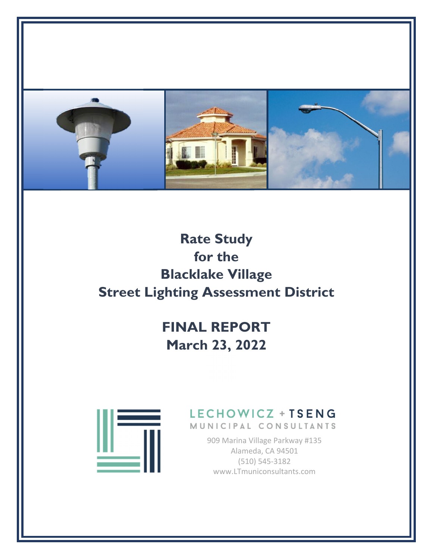

# **Rate Study for the Blacklake Village Street Lighting Assessment District**

# **FINAL REPORT March 23, 2022**



# LECHOWICZ + TSENG

MUNICIPAL CONSULTANTS

909 Marina Village Parkway #135 Alameda, CA 94501 (510) 545‐3182 www.LTmuniconsultants.com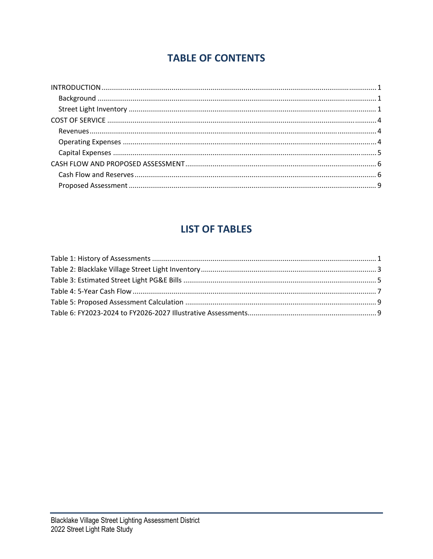# **TABLE OF CONTENTS**

# **LIST OF TABLES**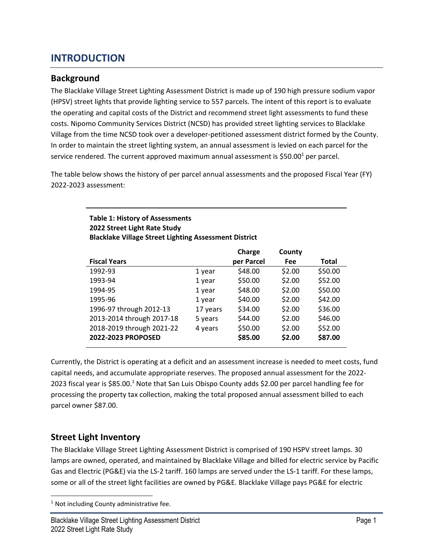## **INTRODUCTION**

### **Background**

The Blacklake Village Street Lighting Assessment District is made up of 190 high pressure sodium vapor (HPSV) street lights that provide lighting service to 557 parcels. The intent of this report is to evaluate the operating and capital costs of the District and recommend street light assessments to fund these costs. Nipomo Community Services District (NCSD) has provided street lighting services to Blacklake Village from the time NCSD took over a developer‐petitioned assessment district formed by the County. In order to maintain the street lighting system, an annual assessment is levied on each parcel for the service rendered. The current approved maximum annual assessment is  $$50.00<sup>1</sup>$  per parcel.

The table below shows the history of per parcel annual assessments and the proposed Fiscal Year (FY) 2022‐2023 assessment:

| <b>Table 1: History of Assessments</b>                       |
|--------------------------------------------------------------|
| 2022 Street Light Rate Study                                 |
| <b>Blacklake Village Street Lighting Assessment District</b> |
|                                                              |

|                           |          | Charge     | County     |              |
|---------------------------|----------|------------|------------|--------------|
| <b>Fiscal Years</b>       |          | per Parcel | <b>Fee</b> | <b>Total</b> |
| 1992-93                   | 1 year   | \$48.00    | \$2.00     | \$50.00      |
| 1993-94                   | 1 year   | \$50.00    | \$2.00     | \$52.00      |
| 1994-95                   | 1 year   | \$48.00    | \$2.00     | \$50.00      |
| 1995-96                   | 1 year   | \$40.00    | \$2.00     | \$42.00      |
| 1996-97 through 2012-13   | 17 years | \$34.00    | \$2.00     | \$36.00      |
| 2013-2014 through 2017-18 | 5 years  | \$44.00    | \$2.00     | \$46.00      |
| 2018-2019 through 2021-22 | 4 years  | \$50.00    | \$2.00     | \$52.00      |
| 2022-2023 PROPOSED        |          | \$85.00    | \$2.00     | \$87.00      |

Currently, the District is operating at a deficit and an assessment increase is needed to meet costs, fund capital needs, and accumulate appropriate reserves. The proposed annual assessment for the 2022‐ 2023 fiscal year is \$85.00.1 Note that San Luis Obispo County adds \$2.00 per parcel handling fee for processing the property tax collection, making the total proposed annual assessment billed to each parcel owner \$87.00.

## **Street Light Inventory**

The Blacklake Village Street Lighting Assessment District is comprised of 190 HSPV street lamps. 30 lamps are owned, operated, and maintained by Blacklake Village and billed for electric service by Pacific Gas and Electric (PG&E) via the LS‐2 tariff. 160 lamps are served under the LS‐1 tariff. For these lamps, some or all of the street light facilities are owned by PG&E. Blacklake Village pays PG&E for electric

<sup>&</sup>lt;sup>1</sup> Not including County administrative fee.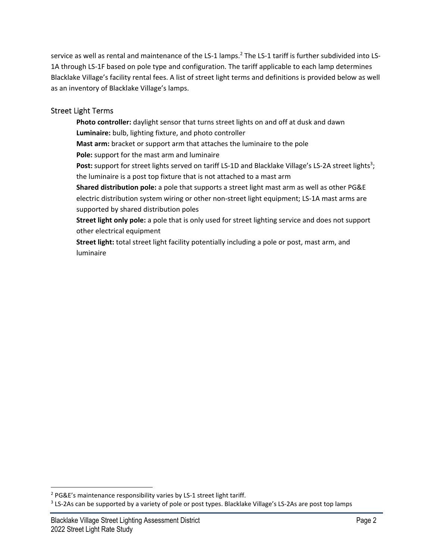service as well as rental and maintenance of the LS-1 lamps.<sup>2</sup> The LS-1 tariff is further subdivided into LS-1A through LS-1F based on pole type and configuration. The tariff applicable to each lamp determines Blacklake Village's facility rental fees. A list of street light terms and definitions is provided below as well as an inventory of Blacklake Village's lamps.

### Street Light Terms

**Photo controller:** daylight sensor that turns street lights on and off at dusk and dawn **Luminaire:** bulb, lighting fixture, and photo controller **Mast arm:** bracket or support arm that attaches the luminaire to the pole **Pole:** support for the mast arm and luminaire Post: support for street lights served on tariff LS-1D and Blacklake Village's LS-2A street lights<sup>3</sup>; the luminaire is a post top fixture that is not attached to a mast arm **Shared distribution pole:** a pole that supports a street light mast arm as well as other PG&E electric distribution system wiring or other non‐street light equipment; LS‐1A mast arms are supported by shared distribution poles **Street light only pole:** a pole that is only used for street lighting service and does not support other electrical equipment

**Street light:** total street light facility potentially including a pole or post, mast arm, and luminaire

<sup>&</sup>lt;sup>2</sup> PG&E's maintenance responsibility varies by LS-1 street light tariff.

<sup>&</sup>lt;sup>3</sup> LS-2As can be supported by a variety of pole or post types. Blacklake Village's LS-2As are post top lamps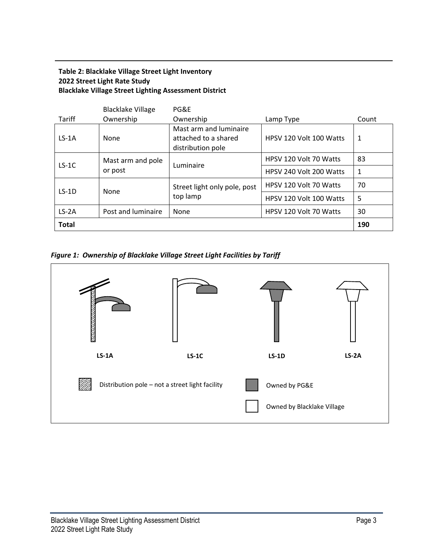### **Table 2: Blacklake Village Street Light Inventory 2022 Street Light Rate Study Blacklake Village Street Lighting Assessment District**

| <b>Total</b>  |                          |                                                |                         | 190   |  |  |
|---------------|--------------------------|------------------------------------------------|-------------------------|-------|--|--|
| $LS-2A$       | Post and luminaire       | None                                           | HPSV 120 Volt 70 Watts  | 30    |  |  |
|               |                          | top lamp                                       | HPSV 120 Volt 100 Watts | 5     |  |  |
| $LS-1D$       | None                     | Street light only pole, post                   | HPSV 120 Volt 70 Watts  | 70    |  |  |
|               | or post                  |                                                | HPSV 240 Volt 200 Watts | 1     |  |  |
| $LS-1C$       | Mast arm and pole        | Luminaire                                      | HPSV 120 Volt 70 Watts  | 83    |  |  |
|               |                          | distribution pole                              |                         |       |  |  |
| $LS-1A$       | None                     | Mast arm and luminaire<br>attached to a shared | HPSV 120 Volt 100 Watts | 1     |  |  |
| <b>Tariff</b> | Ownership                | Ownership                                      | Lamp Type               | Count |  |  |
|               | <b>Blacklake Village</b> | PG&E                                           |                         |       |  |  |

*Figure 1: Ownership of Blacklake Village Street Light Facilities by Tariff*

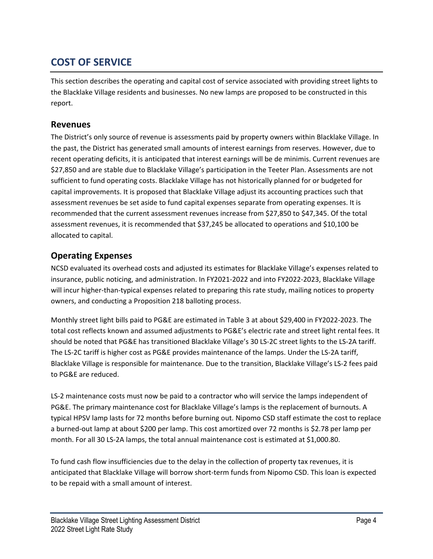# **COST OF SERVICE**

This section describes the operating and capital cost of service associated with providing street lights to the Blacklake Village residents and businesses. No new lamps are proposed to be constructed in this report.

### **Revenues**

The District's only source of revenue is assessments paid by property owners within Blacklake Village. In the past, the District has generated small amounts of interest earnings from reserves. However, due to recent operating deficits, it is anticipated that interest earnings will be de minimis. Current revenues are \$27,850 and are stable due to Blacklake Village's participation in the Teeter Plan. Assessments are not sufficient to fund operating costs. Blacklake Village has not historically planned for or budgeted for capital improvements. It is proposed that Blacklake Village adjust its accounting practices such that assessment revenues be set aside to fund capital expenses separate from operating expenses. It is recommended that the current assessment revenues increase from \$27,850 to \$47,345. Of the total assessment revenues, it is recommended that \$37,245 be allocated to operations and \$10,100 be allocated to capital.

## **Operating Expenses**

NCSD evaluated its overhead costs and adjusted its estimates for Blacklake Village's expenses related to insurance, public noticing, and administration. In FY2021‐2022 and into FY2022‐2023, Blacklake Village will incur higher-than-typical expenses related to preparing this rate study, mailing notices to property owners, and conducting a Proposition 218 balloting process.

Monthly street light bills paid to PG&E are estimated in Table 3 at about \$29,400 in FY2022‐2023. The total cost reflects known and assumed adjustments to PG&E's electric rate and street light rental fees. It should be noted that PG&E has transitioned Blacklake Village's 30 LS‐2C street lights to the LS‐2A tariff. The LS‐2C tariff is higher cost as PG&E provides maintenance of the lamps. Under the LS‐2A tariff, Blacklake Village is responsible for maintenance. Due to the transition, Blacklake Village's LS‐2 fees paid to PG&E are reduced.

LS-2 maintenance costs must now be paid to a contractor who will service the lamps independent of PG&E. The primary maintenance cost for Blacklake Village's lamps is the replacement of burnouts. A typical HPSV lamp lasts for 72 months before burning out. Nipomo CSD staff estimate the cost to replace a burned‐out lamp at about \$200 per lamp. This cost amortized over 72 months is \$2.78 per lamp per month. For all 30 LS-2A lamps, the total annual maintenance cost is estimated at \$1,000.80.

To fund cash flow insufficiencies due to the delay in the collection of property tax revenues, it is anticipated that Blacklake Village will borrow short-term funds from Nipomo CSD. This loan is expected to be repaid with a small amount of interest.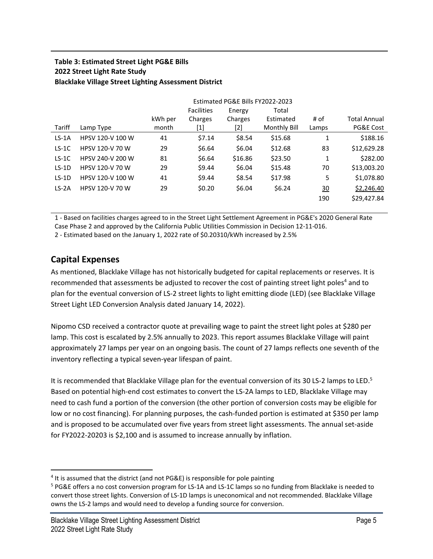### **Table 3: Estimated Street Light PG&E Bills 2022 Street Light Rate Study Blacklake Village Street Lighting Assessment District**

|         | Estimated PG&E Bills FY2022-2023 |         |                   |         |              |                 |              |
|---------|----------------------------------|---------|-------------------|---------|--------------|-----------------|--------------|
|         |                                  |         | <b>Facilities</b> | Energy  | Total        |                 |              |
|         |                                  | kWh per | Charges           | Charges | Estimated    | # of            | Total Annual |
| Tariff  | Lamp Type                        | month   | [1]               | [2]     | Monthly Bill | Lamps           | PG&E Cost    |
| $LS-1A$ | HPSV 120-V 100 W                 | 41      | \$7.14            | \$8.54  | \$15.68      | 1               | \$188.16     |
| $LS-1C$ | HPSV 120-V 70 W                  | 29      | \$6.64            | \$6.04  | \$12.68      | 83              | \$12,629.28  |
| $LS-1C$ | HPSV 240-V 200 W                 | 81      | \$6.64            | \$16.86 | \$23.50      | 1               | \$282.00     |
| $LS-1D$ | HPSV 120-V 70 W                  | 29      | \$9.44            | \$6.04  | \$15.48      | 70              | \$13,003.20  |
| $LS-1D$ | HPSV 120-V 100 W                 | 41      | \$9.44            | \$8.54  | \$17.98      | 5               | \$1,078.80   |
| $LS-2A$ | HPSV 120-V 70 W                  | 29      | \$0.20            | \$6.04  | \$6.24       | $\overline{30}$ | \$2,246.40   |
|         |                                  |         |                   |         |              | 190             | \$29,427.84  |

1 ‐ Based on facilities charges agreed to in the Street Light Settlement Agreement in PG&E's 2020 General Rate Case Phase 2 and approved by the California Public Utilities Commission in Decision 12‐11‐016. 2 ‐ Estimated based on the January 1, 2022 rate of \$0.20310/kWh increased by 2.5%

**Capital Expenses**

As mentioned, Blacklake Village has not historically budgeted for capital replacements or reserves. It is recommended that assessments be adjusted to recover the cost of painting street light poles<sup>4</sup> and to plan for the eventual conversion of LS‐2 street lights to light emitting diode (LED) (see Blacklake Village Street Light LED Conversion Analysis dated January 14, 2022).

Nipomo CSD received a contractor quote at prevailing wage to paint the street light poles at \$280 per lamp. This cost is escalated by 2.5% annually to 2023. This report assumes Blacklake Village will paint approximately 27 lamps per year on an ongoing basis. The count of 27 lamps reflects one seventh of the inventory reflecting a typical seven‐year lifespan of paint.

It is recommended that Blacklake Village plan for the eventual conversion of its 30 LS-2 lamps to LED.<sup>5</sup> Based on potential high‐end cost estimates to convert the LS‐2A lamps to LED, Blacklake Village may need to cash fund a portion of the conversion (the other portion of conversion costs may be eligible for low or no cost financing). For planning purposes, the cash-funded portion is estimated at \$350 per lamp and is proposed to be accumulated over five years from street light assessments. The annual set-aside for FY2022-20203 is \$2,100 and is assumed to increase annually by inflation.

<sup>&</sup>lt;sup>4</sup> It is assumed that the district (and not PG&E) is responsible for pole painting

<sup>&</sup>lt;sup>5</sup> PG&E offers a no cost conversion program for LS-1A and LS-1C lamps so no funding from Blacklake is needed to convert those street lights. Conversion of LS‐1D lamps is uneconomical and not recommended. Blacklake Village owns the LS‐2 lamps and would need to develop a funding source for conversion.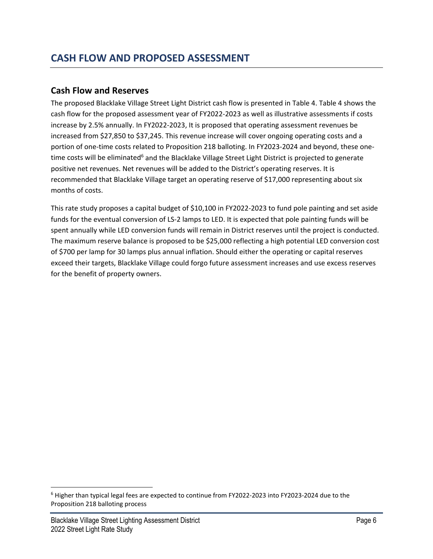### **Cash Flow and Reserves**

The proposed Blacklake Village Street Light District cash flow is presented in Table 4. Table 4 shows the cash flow for the proposed assessment year of FY2022‐2023 as well as illustrative assessments if costs increase by 2.5% annually. In FY2022‐2023, It is proposed that operating assessment revenues be increased from \$27,850 to \$37,245. This revenue increase will cover ongoing operating costs and a portion of one-time costs related to Proposition 218 balloting. In FY2023-2024 and beyond, these onetime costs will be eliminated<sup>6</sup> and the Blacklake Village Street Light District is projected to generate positive net revenues. Net revenues will be added to the District's operating reserves. It is recommended that Blacklake Village target an operating reserve of \$17,000 representing about six months of costs.

This rate study proposes a capital budget of \$10,100 in FY2022‐2023 to fund pole painting and set aside funds for the eventual conversion of LS‐2 lamps to LED. It is expected that pole painting funds will be spent annually while LED conversion funds will remain in District reserves until the project is conducted. The maximum reserve balance is proposed to be \$25,000 reflecting a high potential LED conversion cost of \$700 per lamp for 30 lamps plus annual inflation. Should either the operating or capital reserves exceed their targets, Blacklake Village could forgo future assessment increases and use excess reserves for the benefit of property owners.

<sup>6</sup> Higher than typical legal fees are expected to continue from FY2022‐2023 into FY2023‐2024 due to the Proposition 218 balloting process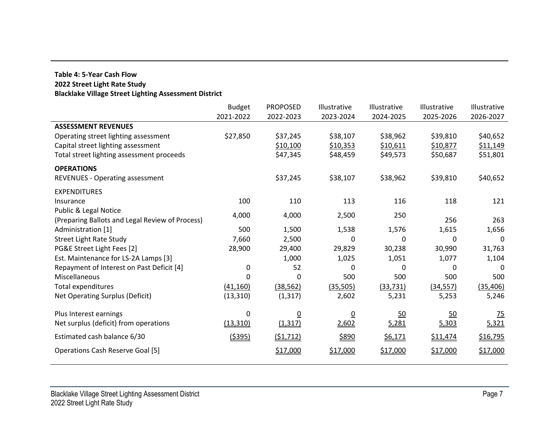#### **Table 4: 5‐Year Cash Flow 2022 Street Light Rate Study Blacklake Village Street Lighting Assessment District**

|                                                 | <b>Budget</b>  | <b>PROPOSED</b> | Illustrative    | Illustrative | Illustrative | Illustrative |
|-------------------------------------------------|----------------|-----------------|-----------------|--------------|--------------|--------------|
|                                                 | 2021-2022      | 2022-2023       | 2023-2024       | 2024-2025    | 2025-2026    | 2026-2027    |
| <b>ASSESSMENT REVENUES</b>                      |                |                 |                 |              |              |              |
| Operating street lighting assessment            | \$27,850       | \$37,245        | \$38,107        | \$38,962     | \$39,810     | \$40,652     |
| Capital street lighting assessment              |                | \$10,100        | \$10,353        | \$10,611     | \$10,877     | \$11,149     |
| Total street lighting assessment proceeds       |                | \$47,345        | \$48,459        | \$49,573     | \$50,687     | \$51,801     |
| <b>OPERATIONS</b>                               |                |                 |                 |              |              |              |
| <b>REVENUES - Operating assessment</b>          |                | \$37,245        | \$38,107        | \$38,962     | \$39,810     | \$40,652     |
| <b>EXPENDITURES</b>                             |                |                 |                 |              |              |              |
| Insurance                                       | 100            | 110             | 113             | 116          | 118          | 121          |
| Public & Legal Notice                           | 4,000          | 4,000           | 2,500           | 250          |              |              |
| (Preparing Ballots and Legal Review of Process) |                |                 |                 |              | 256          | 263          |
| Administration [1]                              | 500            | 1,500           | 1,538           | 1,576        | 1,615        | 1,656        |
| <b>Street Light Rate Study</b>                  | 7,660          | 2,500           | 0               | 0            | 0            | 0            |
| PG&E Street Light Fees [2]                      | 28,900         | 29,400          | 29,829          | 30,238       | 30,990       | 31,763       |
| Est. Maintenance for LS-2A Lamps [3]            |                | 1,000           | 1,025           | 1,051        | 1,077        | 1,104        |
| Repayment of Interest on Past Deficit [4]       | 0              | 52              | 0               | 0            | 0            | 0            |
| Miscellaneous                                   |                | 0               | 500             | 500          | 500          | 500          |
| Total expenditures                              | (41, 160)      | (38, 562)       | (35, 505)       | (33, 731)    | (34, 557)    | (35, 406)    |
| Net Operating Surplus (Deficit)                 | (13, 310)      | (1, 317)        | 2,602           | 5,231        | 5,253        | 5,246        |
| Plus Interest earnings                          | 0              | $\overline{0}$  | $\underline{0}$ | 50           | 50           | 75           |
| Net surplus (deficit) from operations           | (13, 310)      | (1, 317)        | 2,602           | 5,281        | 5,303        | 5,321        |
| Estimated cash balance 6/30                     | <u>(\$395)</u> | (51, 712)       | \$890           | \$6,171      | \$11,474     | \$16,795     |
| <b>Operations Cash Reserve Goal [5]</b>         |                | \$17,000        | \$17,000        | \$17,000     | \$17,000     | \$17,000     |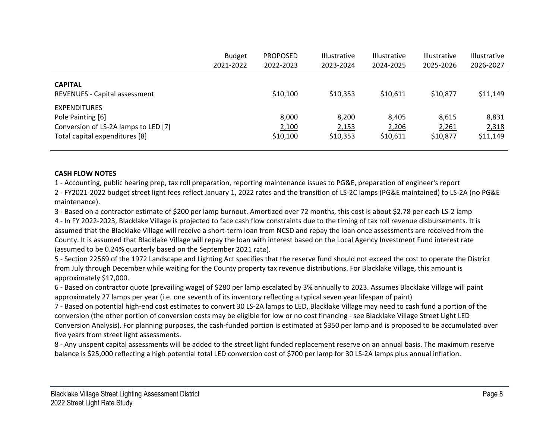|                                                        | <b>Budget</b> | <b>PROPOSED</b> | <b>Illustrative</b> | <b>Illustrative</b> | <b>Illustrative</b> | <b>Illustrative</b> |
|--------------------------------------------------------|---------------|-----------------|---------------------|---------------------|---------------------|---------------------|
|                                                        | 2021-2022     | 2022-2023       | 2023-2024           | 2024-2025           | 2025-2026           | 2026-2027           |
|                                                        |               |                 |                     |                     |                     |                     |
| <b>CAPITAL</b><br><b>REVENUES - Capital assessment</b> |               | \$10,100        | \$10,353            | \$10,611            | \$10,877            | \$11,149            |
| <b>EXPENDITURES</b>                                    |               |                 |                     |                     |                     |                     |
| Pole Painting [6]                                      |               | 8,000           | 8,200               | 8.405               | 8.615               | 8,831               |
| Conversion of LS-2A lamps to LED [7]                   |               | 2,100           | 2,153               | 2,206               | 2,261               | 2,318               |
| Total capital expenditures [8]                         |               | \$10,100        | \$10,353            | \$10,611            | \$10,877            | \$11,149            |

#### **CASH FLOW NOTES**

1 ‐ Accounting, public hearing prep, tax roll preparation, reporting maintenance issues to PG&E, preparation of engineer's report

2 ‐ FY2021‐2022 budget street light fees reflect January 1, 2022 rates and the transition of LS‐2C lamps (PG&E maintained) to LS‐2A (no PG&E maintenance).

3 ‐ Based on <sup>a</sup> contractor estimate of \$200 per lamp burnout. Amortized over <sup>72</sup> months, this cost is about \$2.78 per each LS‐<sup>2</sup> lamp 4 ‐ In FY 2022‐2023, Blacklake Village is projected to face cash flow constraints due to the timing of tax roll revenue disbursements. It is assumed that the Blacklake Village will receive <sup>a</sup> short‐term loan from NCSD and repay the loan once assessments are received from the County. It is assumed that Blacklake Village will repay the loan with interest based on the Local Agency Investment Fund interest rate (assumed to be 0.24% quarterly based on the September 2021 rate).

5 ‐ Section 22569 of the 1972 Landscape and Lighting Act specifies that the reserve fund should not exceed the cost to operate the District from July through December while waiting for the County property tax revenue distributions. For Blacklake Village, this amount is approximately \$17,000.

6 ‐ Based on contractor quote (prevailing wage) of \$280 per lamp escalated by 3% annually to 2023. Assumes Blacklake Village will paint approximately 27 lamps per year (i.e. one seventh of its inventory reflecting <sup>a</sup> typical seven year lifespan of paint)

7 ‐ Based on potential high‐end cost estimates to convert 30 LS‐2A lamps to LED, Blacklake Village may need to cash fund <sup>a</sup> portion of the conversion (the other portion of conversion costs may be eligible for low or no cost financing ‐ see Blacklake Village Street Light LED Conversion Analysis). For planning purposes, the cash‐funded portion is estimated at \$350 per lamp and is proposed to be accumulated over five years from street light assessments.

8 ‐ Any unspent capital assessments will be added to the street light funded replacement reserve on an annual basis. The maximum reserve balance is \$25,000 reflecting <sup>a</sup> high potential total LED conversion cost of \$700 per lamp for 30 LS‐2A lamps plus annual inflation.